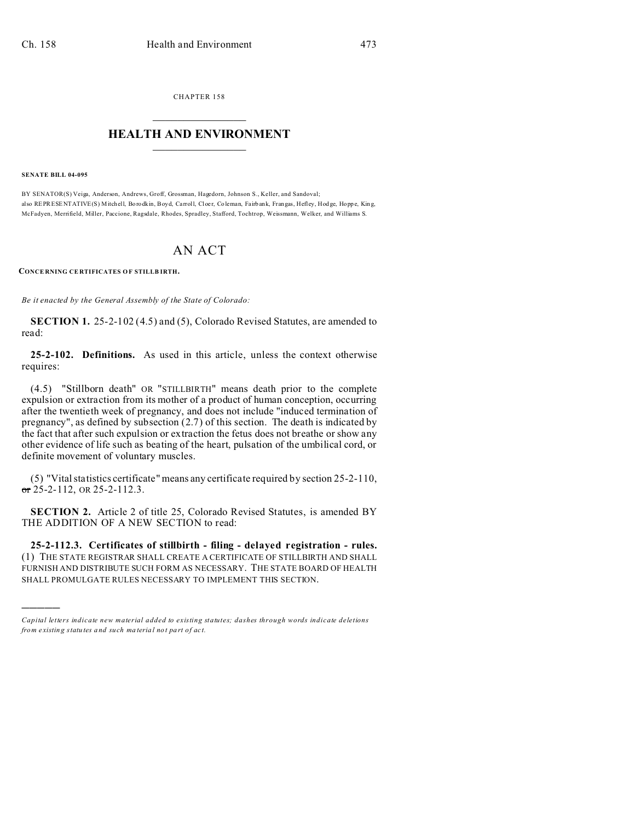CHAPTER 158  $\overline{\phantom{a}}$  , where  $\overline{\phantom{a}}$ 

## **HEALTH AND ENVIRONMENT**  $\_$   $\_$   $\_$   $\_$   $\_$   $\_$   $\_$   $\_$

**SENATE BILL 04-095**

)))))

BY SENATOR(S) Veiga, Anderson, Andrews, Groff, Grossman, Hagedorn, Johnson S., Keller, and Sandoval; also REPRESENTATIVE(S) Mitchell, Borodkin, Boyd, Carroll, Cloer, Coleman, Fairbank, Frangas, Hefley, Hodge, Hoppe, King, McFadyen, Merrifield, Miller, Paccione, Ragsdale, Rhodes, Spradley, Stafford, Tochtrop, Weissmann, Welker, and Williams S.

## AN ACT

**CONCE RNING CE RTIFICATES OF STILLB IRTH.**

*Be it enacted by the General Assembly of the State of Colorado:*

**SECTION 1.** 25-2-102 (4.5) and (5), Colorado Revised Statutes, are amended to read:

**25-2-102. Definitions.** As used in this article, unless the context otherwise requires:

(4.5) "Stillborn death" OR "STILLBIRTH" means death prior to the complete expulsion or extraction from its mother of a product of human conception, occurring after the twentieth week of pregnancy, and does not include "induced termination of pregnancy", as defined by subsection (2.7) of this section. The death is indicated by the fact that after such expulsion or extraction the fetus does not breathe or show any other evidence of life such as beating of the heart, pulsation of the umbilical cord, or definite movement of voluntary muscles.

(5) "Vital statistics certificate" means any certificate required by section 25-2-110,  $\sigma$  25-2-112, OR 25-2-112.3.

**SECTION 2.** Article 2 of title 25, Colorado Revised Statutes, is amended BY THE ADDITION OF A NEW SECTION to read:

**25-2-112.3. Certificates of stillbirth - filing - delayed registration - rules.** (1) THE STATE REGISTRAR SHALL CREATE A CERTIFICATE OF STILLBIRTH AND SHALL FURNISH AND DISTRIBUTE SUCH FORM AS NECESSARY. THE STATE BOARD OF HEALTH SHALL PROMULGATE RULES NECESSARY TO IMPLEMENT THIS SECTION.

*Capital letters indicate new material added to existing statutes; dashes through words indicate deletions from e xistin g statu tes a nd such ma teria l no t pa rt of ac t.*